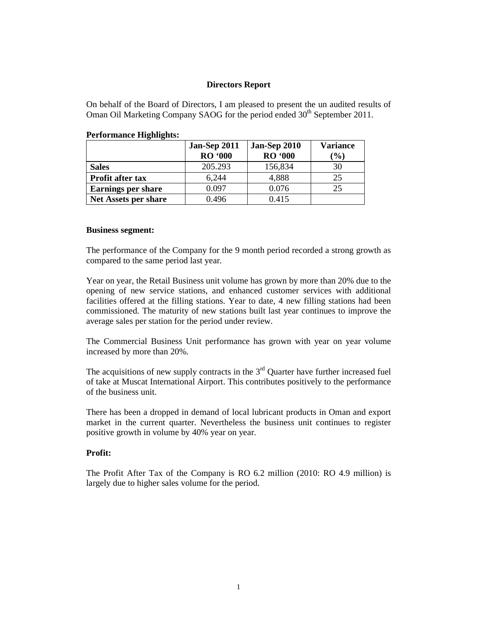## **Directors Report**

On behalf of the Board of Directors, I am pleased to present the un audited results of Oman Oil Marketing Company SAOG for the period ended 30<sup>th</sup> September 2011.

|                             | Jan-Sep 2011<br><b>RO</b> '000 | <b>Jan-Sep 2010</b><br><b>RO '000</b> | <b>Variance</b><br>$\mathcal{O}(6)$ |
|-----------------------------|--------------------------------|---------------------------------------|-------------------------------------|
| <b>Sales</b>                | 205.293                        | 156,834                               | 30                                  |
| Profit after tax            | 6,244                          | 4,888                                 | 25                                  |
| <b>Earnings per share</b>   | 0.097                          | 0.076                                 | 25                                  |
| <b>Net Assets per share</b> | 0.496                          | 0.415                                 |                                     |

#### **Performance Highlights:**

#### **Business segment:**

The performance of the Company for the 9 month period recorded a strong growth as compared to the same period last year.

Year on year, the Retail Business unit volume has grown by more than 20% due to the opening of new service stations, and enhanced customer services with additional facilities offered at the filling stations. Year to date, 4 new filling stations had been commissioned. The maturity of new stations built last year continues to improve the average sales per station for the period under review.

The Commercial Business Unit performance has grown with year on year volume increased by more than 20%.

The acquisitions of new supply contracts in the  $3<sup>rd</sup>$  Quarter have further increased fuel of take at Muscat International Airport. This contributes positively to the performance of the business unit.

There has been a dropped in demand of local lubricant products in Oman and export market in the current quarter. Nevertheless the business unit continues to register positive growth in volume by 40% year on year.

#### **Profit:**

The Profit After Tax of the Company is RO 6.2 million (2010: RO 4.9 million) is largely due to higher sales volume for the period.